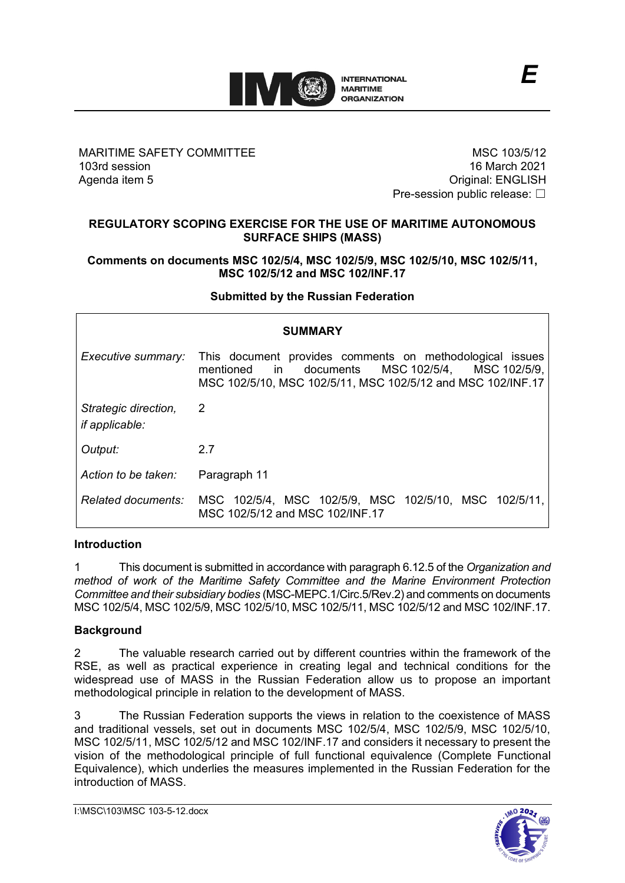

### MARITIME SAFETY COMMITTEE 103rd session Agenda item 5

MSC 103/5/12 16 March 2021 Original: ENGLISH Pre-session public release: □

*E*

## **REGULATORY SCOPING EXERCISE FOR THE USE OF MARITIME AUTONOMOUS SURFACE SHIPS (MASS)**

#### **Comments on documents MSC 102/5/4, MSC 102/5/9, MSC 102/5/10, MSC 102/5/11, MSC 102/5/12 and MSC 102/INF.17**

### **Submitted by the Russian Federation**

| <b>SUMMARY</b>                                |                                                                                                                                                                                                                                                                                              |
|-----------------------------------------------|----------------------------------------------------------------------------------------------------------------------------------------------------------------------------------------------------------------------------------------------------------------------------------------------|
| Executive summary:                            | This document provides comments on methodological issues<br>documents MSC 102/5/4, MSC 102/5/9,<br>mentioned<br>in to the sense of the sense of the sense of the sense of the sense of the sense of the sense of the sense of<br>MSC 102/5/10, MSC 102/5/11, MSC 102/5/12 and MSC 102/INF.17 |
| Strategic direction,<br><i>if applicable:</i> | 2                                                                                                                                                                                                                                                                                            |
| Output:                                       | 2.7                                                                                                                                                                                                                                                                                          |
| Action to be taken:                           | Paragraph 11                                                                                                                                                                                                                                                                                 |
|                                               | Related documents: MSC 102/5/4, MSC 102/5/9, MSC 102/5/10, MSC 102/5/11,<br>MSC 102/5/12 and MSC 102/INF.17                                                                                                                                                                                  |

### **Introduction**

1 This document is submitted in accordance with paragraph 6.12.5 of the *Organization and method of work of the Maritime Safety Committee and the Marine Environment Protection Committee and their subsidiary bodies* (MSC-MEPC.1/Circ.5/Rev.2) and comments on documents MSC 102/5/4, MSC 102/5/9, MSC 102/5/10, MSC 102/5/11, MSC 102/5/12 and MSC 102/INF.17.

### **Background**

2 The valuable research carried out by different countries within the framework of the RSE, as well as practical experience in creating legal and technical conditions for the widespread use of MASS in the Russian Federation allow us to propose an important methodological principle in relation to the development of MASS.

3 The Russian Federation supports the views in relation to the coexistence of MASS and traditional vessels, set out in documents MSC 102/5/4, MSC 102/5/9, MSC 102/5/10, MSC 102/5/11, MSC 102/5/12 and MSC 102/INF.17 and considers it necessary to present the vision of the methodological principle of full functional equivalence (Complete Functional Equivalence), which underlies the measures implemented in the Russian Federation for the introduction of MASS.

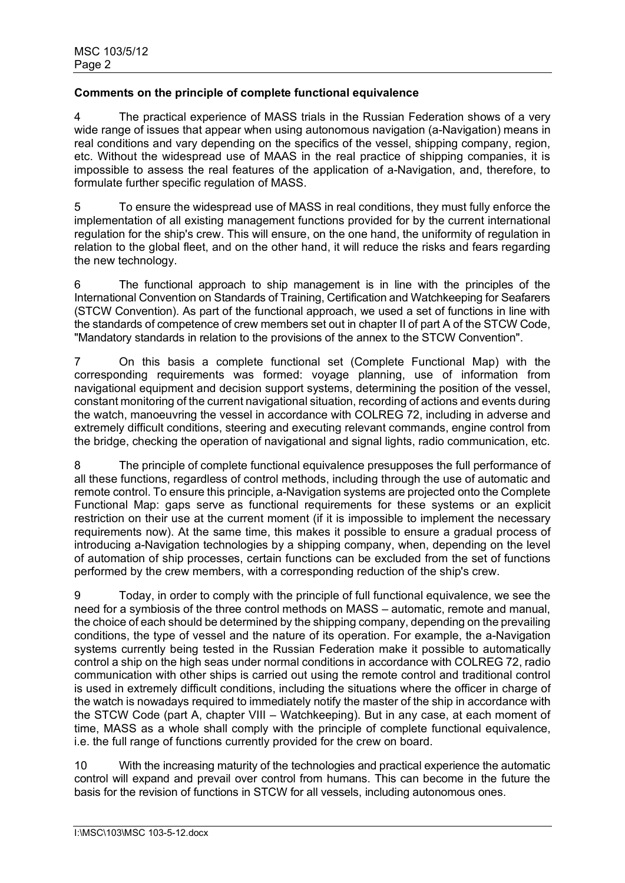# **Comments on the principle of complete functional equivalence**

4 The practical experience of MASS trials in the Russian Federation shows of a very wide range of issues that appear when using autonomous navigation (a-Navigation) means in real conditions and vary depending on the specifics of the vessel, shipping company, region, etc. Without the widespread use of MAAS in the real practice of shipping companies, it is impossible to assess the real features of the application of a-Navigation, and, therefore, to formulate further specific regulation of MASS.

5 To ensure the widespread use of MASS in real conditions, they must fully enforce the implementation of all existing management functions provided for by the current international regulation for the ship's crew. This will ensure, on the one hand, the uniformity of regulation in relation to the global fleet, and on the other hand, it will reduce the risks and fears regarding the new technology.

6 The functional approach to ship management is in line with the principles of the International Convention on Standards of Training, Certification and Watchkeeping for Seafarers (STCW Convention). As part of the functional approach, we used a set of functions in line with the standards of competence of crew members set out in chapter II of part A of the STCW Code, "Mandatory standards in relation to the provisions of the annex to the STCW Convention".

7 On this basis a complete functional set (Complete Functional Map) with the corresponding requirements was formed: voyage planning, use of information from navigational equipment and decision support systems, determining the position of the vessel, constant monitoring of the current navigational situation, recording of actions and events during the watch, manoeuvring the vessel in accordance with COLREG 72, including in adverse and extremely difficult conditions, steering and executing relevant commands, engine control from the bridge, checking the operation of navigational and signal lights, radio communication, etc.

8 The principle of complete functional equivalence presupposes the full performance of all these functions, regardless of control methods, including through the use of automatic and remote control. To ensure this principle, a-Navigation systems are projected onto the Complete Functional Map: gaps serve as functional requirements for these systems or an explicit restriction on their use at the current moment (if it is impossible to implement the necessary requirements now). At the same time, this makes it possible to ensure a gradual process of introducing a-Navigation technologies by a shipping company, when, depending on the level of automation of ship processes, certain functions can be excluded from the set of functions performed by the crew members, with a corresponding reduction of the ship's crew.

9 Today, in order to comply with the principle of full functional equivalence, we see the need for a symbiosis of the three control methods on MASS – automatic, remote and manual, the choice of each should be determined by the shipping company, depending on the prevailing conditions, the type of vessel and the nature of its operation. For example, the a-Navigation systems currently being tested in the Russian Federation make it possible to automatically control a ship on the high seas under normal conditions in accordance with COLREG 72, radio communication with other ships is carried out using the remote control and traditional control is used in extremely difficult conditions, including the situations where the officer in charge of the watch is nowadays required to immediately notify the master of the ship in accordance with the STCW Code (part A, chapter VIII – Watchkeeping). But in any case, at each moment of time, MASS as a whole shall comply with the principle of complete functional equivalence, i.e. the full range of functions currently provided for the crew on board.

10 With the increasing maturity of the technologies and practical experience the automatic control will expand and prevail over control from humans. This can become in the future the basis for the revision of functions in STCW for all vessels, including autonomous ones.